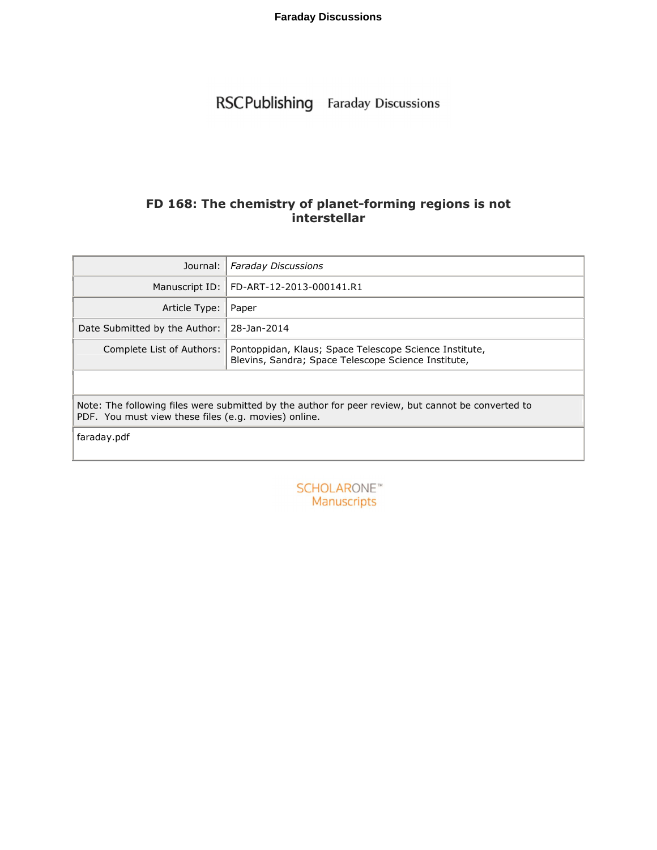RSCPublishing Faraday Discussions

## **FD 168: The chemistry of planet-forming regions is not interstellar**

| Journal:                                                                                                                                                   | <b>Faraday Discussions</b>                                                                                    |  |  |  |
|------------------------------------------------------------------------------------------------------------------------------------------------------------|---------------------------------------------------------------------------------------------------------------|--|--|--|
| Manuscript ID:                                                                                                                                             | FD-ART-12-2013-000141.R1                                                                                      |  |  |  |
| Article Type:                                                                                                                                              | Paper                                                                                                         |  |  |  |
| Date Submitted by the Author:                                                                                                                              | 28-Jan-2014                                                                                                   |  |  |  |
| Complete List of Authors:                                                                                                                                  | Pontoppidan, Klaus; Space Telescope Science Institute,<br>Blevins, Sandra; Space Telescope Science Institute, |  |  |  |
|                                                                                                                                                            |                                                                                                               |  |  |  |
| Note: The following files were submitted by the author for peer review, but cannot be converted to<br>PDF. You must view these files (e.g. movies) online. |                                                                                                               |  |  |  |
| faraday.pdf                                                                                                                                                |                                                                                                               |  |  |  |

**SCHOLARONE™** Manuscripts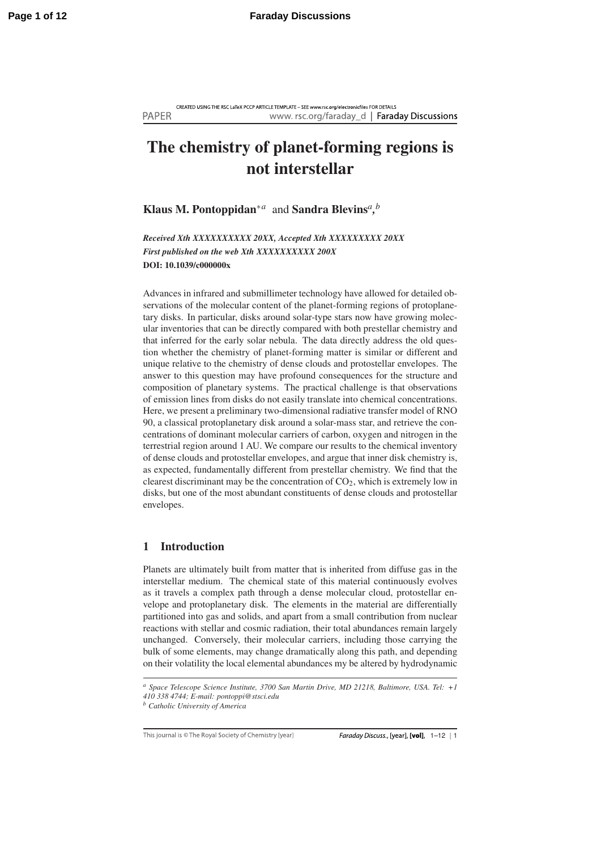CREATED USING THE RSC LaTeX PCCP ARTICLE TEMPLATE - SEE www.rsc.org/electronicfiles FOR DETAILS **PAPER** www.rsc.org/faraday\_d | Faraday Discussions

# The chemistry of planet-forming regions is not interstellar

Klaus M. Pontoppidan∗*<sup>a</sup>* and Sandra Blevins*a, b*

*Received Xth XXXXXXXXXX 20XX, Accepted Xth XXXXXXXXX 20XX First published on the web Xth XXXXXXXXXX 200X* DOI: 10.1039/c000000x

Advances in infrared and submillimeter technology have allowed for detailed observations of the molecular content of the planet-forming regions of protoplanetary disks. In particular, disks around solar-type stars now have growing molecular inventories that can be directly compared with both prestellar chemistry and that inferred for the early solar nebula. The data directly address the old question whether the chemistry of planet-forming matter is similar or different and unique relative to the chemistry of dense clouds and protostellar envelopes. The answer to this question may have profound consequences for the structure and composition of planetary systems. The practical challenge is that observations of emission lines from disks do not easily translate into chemical concentrations. Here, we present a preliminary two-dimensional radiative transfer model of RNO 90, a classical protoplanetary disk around a solar-mass star, and retrieve the concentrations of dominant molecular carriers of carbon, oxygen and nitrogen in the terrestrial region around 1 AU. We compare our results to the chemical inventory of dense clouds and protostellar envelopes, and argue that inner disk chemistry is, as expected, fundamentally different from prestellar chemistry. We find that the clearest discriminant may be the concentration of  $CO<sub>2</sub>$ , which is extremely low in disks, but one of the most abundant constituents of dense clouds and protostellar envelopes.

## 1 Introduction

Planets are ultimately built from matter that is inherited from diffuse gas in the interstellar medium. The chemical state of this material continuously evolves as it travels a complex path through a dense molecular cloud, protostellar envelope and protoplanetary disk. The elements in the material are differentially partitioned into gas and solids, and apart from a small contribution from nuclear reactions with stellar and cosmic radiation, their total abundances remain largely unchanged. Conversely, their molecular carriers, including those carrying the bulk of some elements, may change dramatically along this path, and depending on their volatility the local elemental abundances my be altered by hydrodynamic

This journal is © The Royal Society of Chemistry [year]

*<sup>a</sup> Space Telescope Science Institute, 3700 San Martin Drive, MD 21218, Baltimore, USA. Tel: +1 410 338 4744; E-mail: pontoppi@stsci.edu*

*<sup>b</sup> Catholic University of America*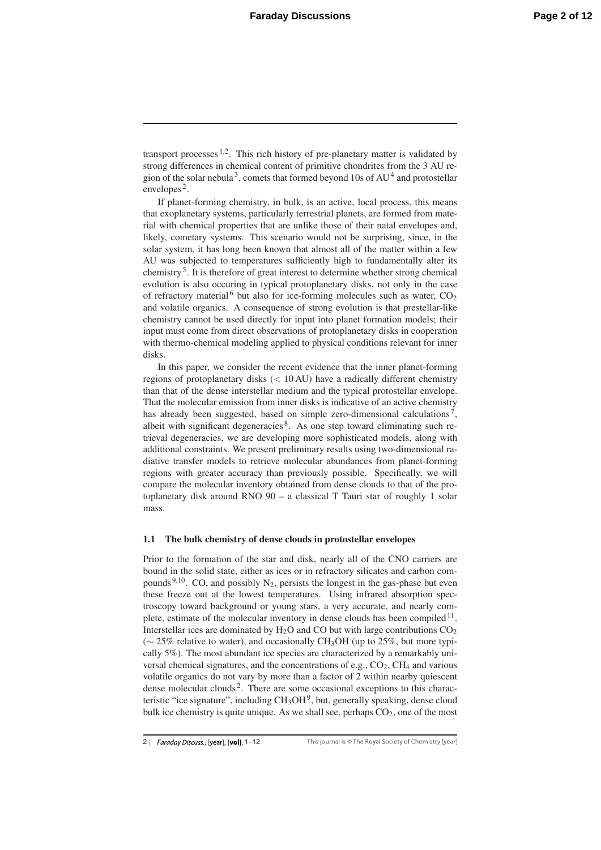transport processes  $1,2$ . This rich history of pre-planetary matter is validated by strong differences in chemical content of primitive chondrites from the 3 AU region of the solar nebula<sup>3</sup>, comets that formed beyond 10s of  $AU<sup>4</sup>$  and protostellar envelopes<sup>2</sup>.

If planet-forming chemistry, in bulk, is an active, local process, this means that exoplanetary systems, particularly terrestrial planets, are formed from material with chemical properties that are unlike those of their natal envelopes and, likely, cometary systems. This scenario would not be surprising, since, in the solar system, it has long been known that almost all of the matter within a few AU was subjected to temperatures sufficiently high to fundamentally alter its chemistry5. It is therefore of great interest to determine whether strong chemical evolution is also occuring in typical protoplanetary disks, not only in the case of refractory material<sup>6</sup> but also for ice-forming molecules such as water,  $CO<sub>2</sub>$ and volatile organics. A consequence of strong evolution is that prestellar-like chemistry cannot be used directly for input into planet formation models; their input must come from direct observations of protoplanetary disks in cooperation with thermo-chemical modeling applied to physical conditions relevant for inner disks.

In this paper, we consider the recent evidence that the inner planet-forming regions of protoplanetary disks (< 10 AU) have a radically different chemistry than that of the dense interstellar medium and the typical protostellar envelope. That the molecular emission from inner disks is indicative of an active chemistry has already been suggested, based on simple zero-dimensional calculations<sup>7</sup>, albeit with significant degeneracies 8. As one step toward eliminating such retrieval degeneracies, we are developing more sophisticated models, along with additional constraints. We present preliminary results using two-dimensional radiative transfer models to retrieve molecular abundances from planet-forming regions with greater accuracy than previously possible. Specifically, we will compare the molecular inventory obtained from dense clouds to that of the protoplanetary disk around RNO 90 – a classical T Tauri star of roughly 1 solar mass.

#### 1.1 The bulk chemistry of dense clouds in protostellar envelopes

Prior to the formation of the star and disk, nearly all of the CNO carriers are bound in the solid state, either as ices or in refractory silicates and carbon compounds <sup>9,10</sup>. CO, and possibly  $N_2$ , persists the longest in the gas-phase but even these freeze out at the lowest temperatures. Using infrared absorption spectroscopy toward background or young stars, a very accurate, and nearly complete, estimate of the molecular inventory in dense clouds has been compiled  $11$ . Interstellar ices are dominated by  $H_2O$  and CO but with large contributions  $CO_2$ ( $\sim$  25% relative to water), and occasionally CH<sub>3</sub>OH (up to 25%, but more typically 5%). The most abundant ice species are characterized by a remarkably universal chemical signatures, and the concentrations of e.g.,  $CO<sub>2</sub>$ ,  $CH<sub>4</sub>$  and various volatile organics do not vary by more than a factor of 2 within nearby quiescent dense molecular clouds<sup>2</sup>. There are some occasional exceptions to this characteristic "ice signature", including  $CH<sub>3</sub>OH<sup>9</sup>$ , but, generally speaking, dense cloud bulk ice chemistry is quite unique. As we shall see, perhaps  $CO<sub>2</sub>$ , one of the most

<sup>2 |</sup> Faraday Discuss., [year], [vol], 1-12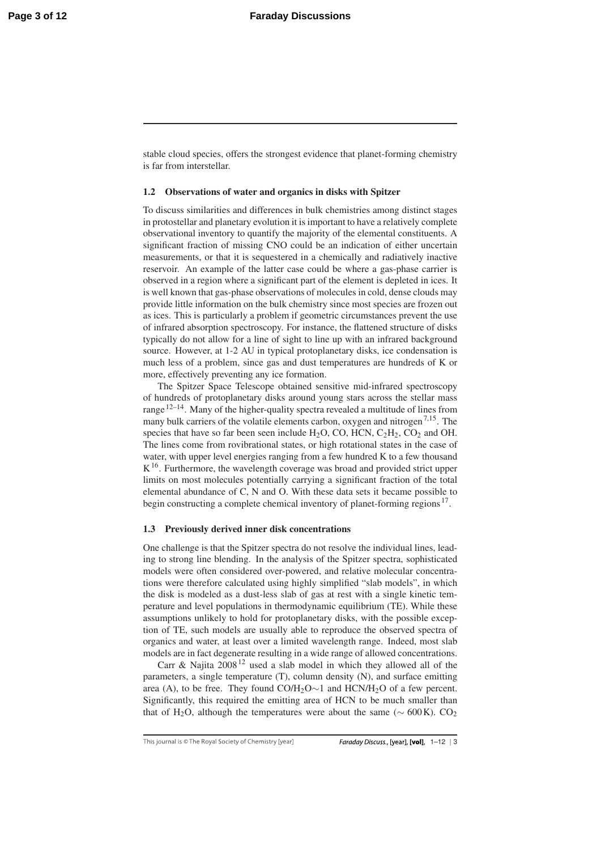stable cloud species, offers the strongest evidence that planet-forming chemistry is far from interstellar.

#### 1.2 Observations of water and organics in disks with Spitzer

To discuss similarities and differences in bulk chemistries among distinct stages in protostellar and planetary evolution it is important to have a relatively complete observational inventory to quantify the majority of the elemental constituents. A significant fraction of missing CNO could be an indication of either uncertain measurements, or that it is sequestered in a chemically and radiatively inactive reservoir. An example of the latter case could be where a gas-phase carrier is observed in a region where a significant part of the element is depleted in ices. It is well known that gas-phase observations of molecules in cold, dense clouds may provide little information on the bulk chemistry since most species are frozen out as ices. This is particularly a problem if geometric circumstances prevent the use of infrared absorption spectroscopy. For instance, the flattened structure of disks typically do not allow for a line of sight to line up with an infrared background source. However, at 1-2 AU in typical protoplanetary disks, ice condensation is much less of a problem, since gas and dust temperatures are hundreds of K or more, effectively preventing any ice formation.

The Spitzer Space Telescope obtained sensitive mid-infrared spectroscopy of hundreds of protoplanetary disks around young stars across the stellar mass range  $12-14$ . Many of the higher-quality spectra revealed a multitude of lines from many bulk carriers of the volatile elements carbon, oxygen and nitrogen<sup>7,15</sup>. The species that have so far been seen include  $H_2O$ , CO, HCN,  $C_2H_2$ , CO<sub>2</sub> and OH. The lines come from rovibrational states, or high rotational states in the case of water, with upper level energies ranging from a few hundred K to a few thousand  $K^{16}$ . Furthermore, the wavelength coverage was broad and provided strict upper limits on most molecules potentially carrying a significant fraction of the total elemental abundance of C, N and O. With these data sets it became possible to begin constructing a complete chemical inventory of planet-forming regions <sup>17</sup>.

#### 1.3 Previously derived inner disk concentrations

One challenge is that the Spitzer spectra do not resolve the individual lines, leading to strong line blending. In the analysis of the Spitzer spectra, sophisticated models were often considered over-powered, and relative molecular concentrations were therefore calculated using highly simplified "slab models", in which the disk is modeled as a dust-less slab of gas at rest with a single kinetic temperature and level populations in thermodynamic equilibrium (TE). While these assumptions unlikely to hold for protoplanetary disks, with the possible exception of TE, such models are usually able to reproduce the observed spectra of organics and water, at least over a limited wavelength range. Indeed, most slab models are in fact degenerate resulting in a wide range of allowed concentrations.

Carr & Najita  $2008^{12}$  used a slab model in which they allowed all of the parameters, a single temperature (T), column density (N), and surface emitting area (A), to be free. They found  $CO/H<sub>2</sub>O<sub>∼1</sub>$  and  $HCN/H<sub>2</sub>O$  of a few percent. Significantly, this required the emitting area of HCN to be much smaller than that of H<sub>2</sub>O, although the temperatures were about the same ( $\sim 600 \text{ K}$ ). CO<sub>2</sub>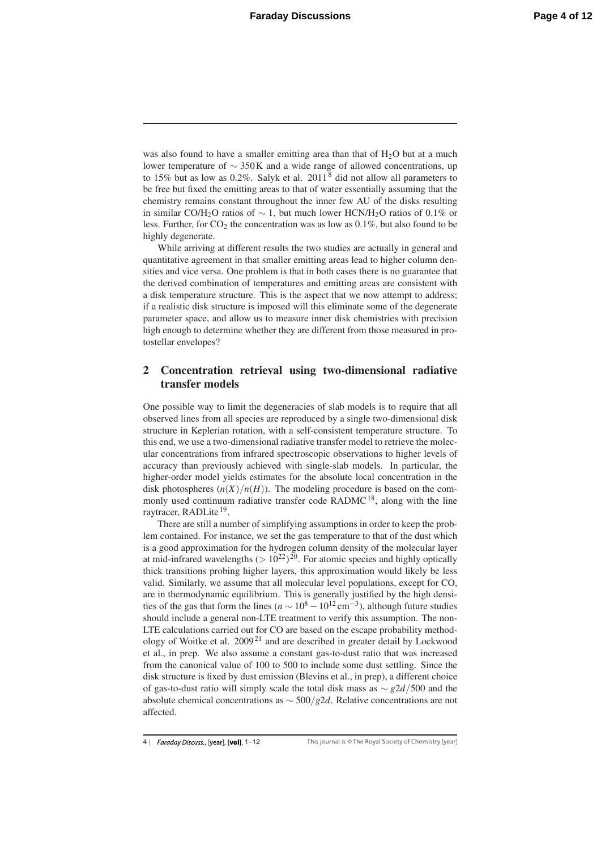was also found to have a smaller emitting area than that of  $H_2O$  but at a much lower temperature of ∼ 350K and a wide range of allowed concentrations, up to 15% but as low as 0.2%. Salyk et al.  $2011<sup>8</sup>$  did not allow all parameters to be free but fixed the emitting areas to that of water essentially assuming that the chemistry remains constant throughout the inner few AU of the disks resulting in similar CO/H<sub>2</sub>O ratios of  $\sim$  1, but much lower HCN/H<sub>2</sub>O ratios of 0.1% or less. Further, for  $CO_2$  the concentration was as low as  $0.1\%$ , but also found to be highly degenerate.

While arriving at different results the two studies are actually in general and quantitative agreement in that smaller emitting areas lead to higher column densities and vice versa. One problem is that in both cases there is no guarantee that the derived combination of temperatures and emitting areas are consistent with a disk temperature structure. This is the aspect that we now attempt to address; if a realistic disk structure is imposed will this eliminate some of the degenerate parameter space, and allow us to measure inner disk chemistries with precision high enough to determine whether they are different from those measured in protostellar envelopes?

## 2 Concentration retrieval using two-dimensional radiative transfer models

One possible way to limit the degeneracies of slab models is to require that all observed lines from all species are reproduced by a single two-dimensional disk structure in Keplerian rotation, with a self-consistent temperature structure. To this end, we use a two-dimensional radiative transfer model to retrieve the molecular concentrations from infrared spectroscopic observations to higher levels of accuracy than previously achieved with single-slab models. In particular, the higher-order model yields estimates for the absolute local concentration in the disk photospheres  $(n(X)/n(H))$ . The modeling procedure is based on the commonly used continuum radiative transfer code RADMC<sup>18</sup>, along with the line raytracer, RADLite<sup>19</sup>.

There are still a number of simplifying assumptions in order to keep the problem contained. For instance, we set the gas temperature to that of the dust which is a good approximation for the hydrogen column density of the molecular layer at mid-infrared wavelengths  $(> 10^{22})^{20}$ . For atomic species and highly optically thick transitions probing higher layers, this approximation would likely be less valid. Similarly, we assume that all molecular level populations, except for CO, are in thermodynamic equilibrium. This is generally justified by the high densities of the gas that form the lines ( $n \sim 10^8 - 10^{12}$  cm<sup>-3</sup>), although future studies should include a general non-LTE treatment to verify this assumption. The non-LTE calculations carried out for CO are based on the escape probability methodology of Woitke et al. 2009<sup>21</sup> and are described in greater detail by Lockwood et al., in prep. We also assume a constant gas-to-dust ratio that was increased from the canonical value of 100 to 500 to include some dust settling. Since the disk structure is fixed by dust emission (Blevins et al., in prep), a different choice of gas-to-dust ratio will simply scale the total disk mass as ∼ *g*2*d*/500 and the absolute chemical concentrations as ∼ 500/*g*2*d*. Relative concentrations are not affected.

<sup>4 |</sup> Faraday Discuss., [year], [vol], 1-12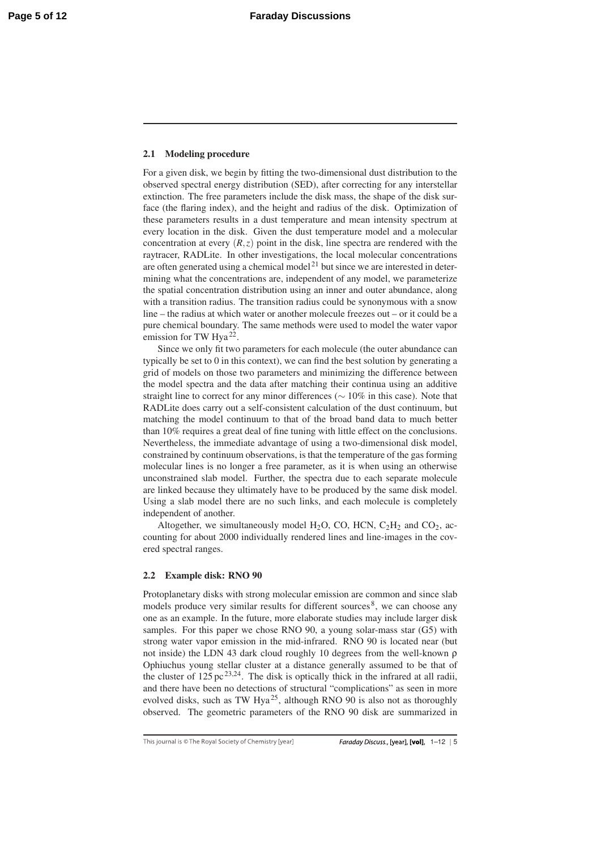#### 2.1 Modeling procedure

For a given disk, we begin by fitting the two-dimensional dust distribution to the observed spectral energy distribution (SED), after correcting for any interstellar extinction. The free parameters include the disk mass, the shape of the disk surface (the flaring index), and the height and radius of the disk. Optimization of these parameters results in a dust temperature and mean intensity spectrum at every location in the disk. Given the dust temperature model and a molecular concentration at every  $(R, z)$  point in the disk, line spectra are rendered with the raytracer, RADLite. In other investigations, the local molecular concentrations are often generated using a chemical model<sup>21</sup> but since we are interested in determining what the concentrations are, independent of any model, we parameterize the spatial concentration distribution using an inner and outer abundance, along with a transition radius. The transition radius could be synonymous with a snow line – the radius at which water or another molecule freezes out – or it could be a pure chemical boundary. The same methods were used to model the water vapor emission for TW Hya<sup>22</sup>.

Since we only fit two parameters for each molecule (the outer abundance can typically be set to 0 in this context), we can find the best solution by generating a grid of models on those two parameters and minimizing the difference between the model spectra and the data after matching their continua using an additive straight line to correct for any minor differences (∼ 10% in this case). Note that RADLite does carry out a self-consistent calculation of the dust continuum, but matching the model continuum to that of the broad band data to much better than 10% requires a great deal of fine tuning with little effect on the conclusions. Nevertheless, the immediate advantage of using a two-dimensional disk model, constrained by continuum observations, is that the temperature of the gas forming molecular lines is no longer a free parameter, as it is when using an otherwise unconstrained slab model. Further, the spectra due to each separate molecule are linked because they ultimately have to be produced by the same disk model. Using a slab model there are no such links, and each molecule is completely independent of another.

Altogether, we simultaneously model  $H_2O$ , CO, HCN,  $C_2H_2$  and CO<sub>2</sub>, accounting for about 2000 individually rendered lines and line-images in the covered spectral ranges.

#### 2.2 Example disk: RNO 90

Protoplanetary disks with strong molecular emission are common and since slab models produce very similar results for different sources<sup>8</sup>, we can choose any one as an example. In the future, more elaborate studies may include larger disk samples. For this paper we chose RNO 90, a young solar-mass star (G5) with strong water vapor emission in the mid-infrared. RNO 90 is located near (but not inside) the LDN 43 dark cloud roughly 10 degrees from the well-known ρ Ophiuchus young stellar cluster at a distance generally assumed to be that of the cluster of  $125 \text{ pc}^{23,24}$ . The disk is optically thick in the infrared at all radii, and there have been no detections of structural "complications" as seen in more evolved disks, such as TW Hya<sup>25</sup>, although RNO 90 is also not as thoroughly observed. The geometric parameters of the RNO 90 disk are summarized in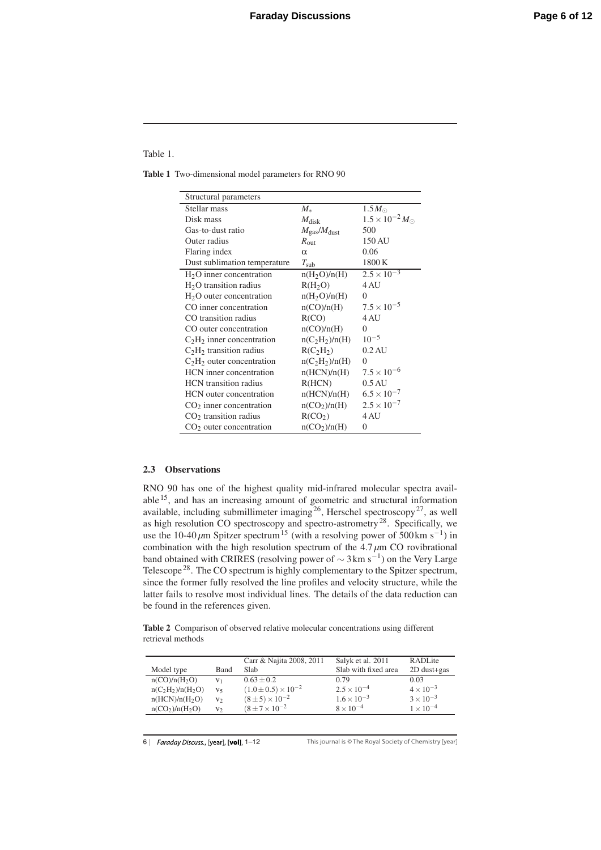Table 1.

Table 1 Two-dimensional model parameters for RNO 90

| Structural parameters          |                                        |                                |
|--------------------------------|----------------------------------------|--------------------------------|
| Stellar mass                   | $M_*$                                  | $1.5M_{\odot}$                 |
| Disk mass                      | $M_{\rm disk}$                         | $1.5 \times 10^{-2} M_{\odot}$ |
| Gas-to-dust ratio              | $M_{\rm gas}/M_{\rm dust}$             | 500                            |
| Outer radius                   | $R_{\text{out}}$                       | 150 AU                         |
| Flaring index                  | $\alpha$                               | 0.06                           |
| Dust sublimation temperature   | $T_{\rm sub}$                          | 1800K                          |
| $H2O$ inner concentration      | n(H <sub>2</sub> O)/n(H)               | $2.5 \times 10^{-3}$           |
| $H2O$ transition radius        | R(H <sub>2</sub> O)                    | 4 AU                           |
| $H2O$ outer concentration      | n(H <sub>2</sub> O)/n(H)               | $\Omega$                       |
| CO inner concentration         | n(CO)/n(H)                             | $7.5 \times 10^{-5}$           |
| CO transition radius           | R(CO)                                  | 4 AU                           |
| CO outer concentration         | n(CO)/n(H)                             | 0                              |
| $C2H2$ inner concentration     | n(C <sub>2</sub> H <sub>2</sub> )/n(H) | $10^{-5}$                      |
| $C2H2$ transition radius       | R(C <sub>2</sub> H <sub>2</sub> )      | $0.2 \text{ AU}$               |
| $C2H2$ outer concentration     | n(C <sub>2</sub> H <sub>2</sub> )/n(H) | $\Omega$                       |
| HCN inner concentration        | n(HCN)/n(H)                            | $7.5 \times 10^{-6}$           |
| <b>HCN</b> transition radius   | R(HCN)                                 | $0.5 \text{ AU}$               |
| <b>HCN</b> outer concentration | n(HCN)/n(H)                            | $6.5 \times 10^{-7}$           |
| $CO2$ inner concentration      | $n(CO_2)/n(H)$                         | $2.5 \times 10^{-7}$           |
| $CO2$ transition radius        | R(CO <sub>2</sub> )                    | 4 AU                           |
| $CO2$ outer concentration      | $n(CO_2)/n(H)$                         | $\overline{0}$                 |

#### 2.3 Observations

RNO 90 has one of the highest quality mid-infrared molecular spectra available 15, and has an increasing amount of geometric and structural information available, including submillimeter imaging<sup>26</sup>, Herschel spectroscopy<sup>27</sup>, as well as high resolution CO spectroscopy and spectro-astrometry<sup>28</sup>. Specifically, we use the 10-40  $\mu$ m Spitzer spectrum<sup>15</sup> (with a resolving power of 500 km s<sup>-1</sup>) in combination with the high resolution spectrum of the 4.7 *μ*m CO rovibrational band obtained with CRIRES (resolving power of  $\sim$  3 km s<sup>-1</sup>) on the Very Large Telescope<sup>28</sup>. The CO spectrum is highly complementary to the Spitzer spectrum, since the former fully resolved the line profiles and velocity structure, while the latter fails to resolve most individual lines. The details of the data reduction can be found in the references given.

Table 2 Comparison of observed relative molecular concentrations using different retrieval methods

|                            |                | Carr & Najita 2008, 2011       | Salyk et al. 2011    | RADLite            |
|----------------------------|----------------|--------------------------------|----------------------|--------------------|
| Model type                 | Band           | Slab                           | Slab with fixed area | $2D$ dust+gas      |
| n(CO)/n(H <sub>2</sub> O)  | v <sub>1</sub> | $0.63 + 0.2$                   | 0.79                 | 0.03               |
| $n(C_2H_2)/n(H_2O)$        | ٧٢             | $(1.0 \pm 0.5) \times 10^{-2}$ | $2.5 \times 10^{-4}$ | $4 \times 10^{-3}$ |
| n(HCN)/n(H <sub>2</sub> O) | $v_2$          | $(8 \pm 5) \times 10^{-2}$     | $1.6 \times 10^{-3}$ | $3 \times 10^{-3}$ |
| $n(CO_2)/n(H_2O)$          | V٥             | $(8+7\times10^{-2}$            | $8 \times 10^{-4}$   | $1 \times 10^{-4}$ |

6 | Faraday Discuss., [year], [vol], 1-12

This journal is © The Royal Society of Chemistry [year]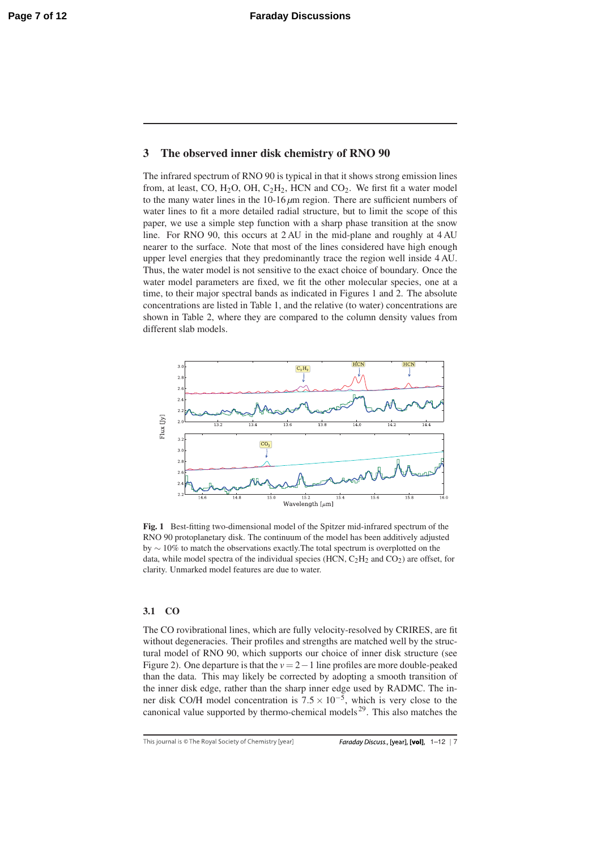## 3 The observed inner disk chemistry of RNO 90

The infrared spectrum of RNO 90 is typical in that it shows strong emission lines from, at least, CO,  $H_2O$ , OH,  $C_2H_2$ , HCN and CO<sub>2</sub>. We first fit a water model to the many water lines in the 10-16 *μ*m region. There are sufficient numbers of water lines to fit a more detailed radial structure, but to limit the scope of this paper, we use a simple step function with a sharp phase transition at the snow line. For RNO 90, this occurs at 2 AU in the mid-plane and roughly at 4 AU nearer to the surface. Note that most of the lines considered have high enough upper level energies that they predominantly trace the region well inside 4 AU. Thus, the water model is not sensitive to the exact choice of boundary. Once the water model parameters are fixed, we fit the other molecular species, one at a time, to their major spectral bands as indicated in Figures 1 and 2. The absolute concentrations are listed in Table 1, and the relative (to water) concentrations are shown in Table 2, where they are compared to the column density values from different slab models.



Fig. 1 Best-fitting two-dimensional model of the Spitzer mid-infrared spectrum of the RNO 90 protoplanetary disk. The continuum of the model has been additively adjusted by ∼ 10% to match the observations exactly.The total spectrum is overplotted on the data, while model spectra of the individual species (HCN,  $C_2H_2$  and  $CO_2$ ) are offset, for clarity. Unmarked model features are due to water.

#### 3.1 CO

The CO rovibrational lines, which are fully velocity-resolved by CRIRES, are fit without degeneracies. Their profiles and strengths are matched well by the structural model of RNO 90, which supports our choice of inner disk structure (see Figure 2). One departure is that the *v* = 2−1 line profiles are more double-peaked than the data. This may likely be corrected by adopting a smooth transition of the inner disk edge, rather than the sharp inner edge used by RADMC. The inner disk CO/H model concentration is  $7.5 \times 10^{-5}$ , which is very close to the canonical value supported by thermo-chemical models 29. This also matches the

This journal is © The Royal Society of Chemistry [year]

Faraday Discuss., [year], [vol], 1-12 | 7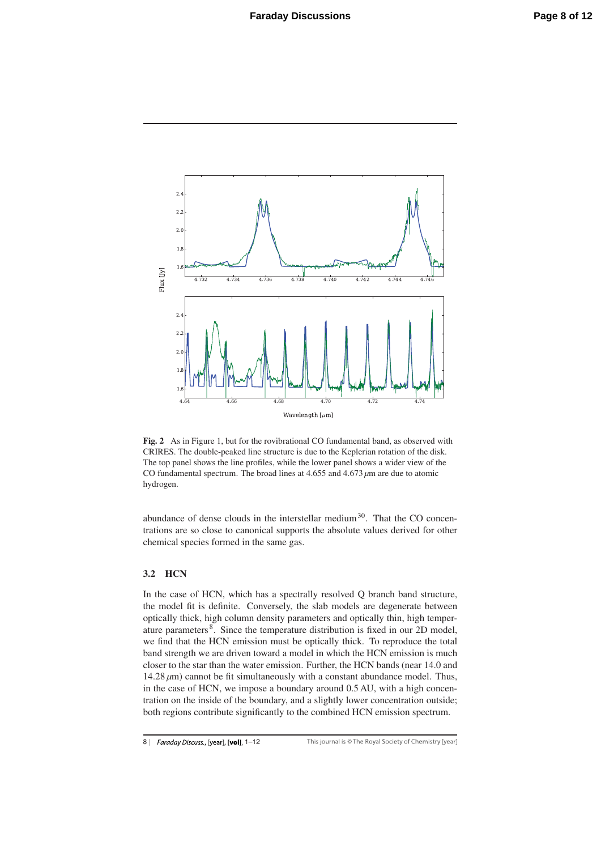

Fig. 2 As in Figure 1, but for the rovibrational CO fundamental band, as observed with CRIRES. The double-peaked line structure is due to the Keplerian rotation of the disk. The top panel shows the line profiles, while the lower panel shows a wider view of the CO fundamental spectrum. The broad lines at 4.655 and 4.673 *μ*m are due to atomic hydrogen.

abundance of dense clouds in the interstellar medium<sup>30</sup>. That the CO concentrations are so close to canonical supports the absolute values derived for other chemical species formed in the same gas.

#### 3.2 HCN

In the case of HCN, which has a spectrally resolved Q branch band structure, the model fit is definite. Conversely, the slab models are degenerate between optically thick, high column density parameters and optically thin, high temperature parameters 8. Since the temperature distribution is fixed in our 2D model, we find that the HCN emission must be optically thick. To reproduce the total band strength we are driven toward a model in which the HCN emission is much closer to the star than the water emission. Further, the HCN bands (near 14.0 and 14.28 *μ*m) cannot be fit simultaneously with a constant abundance model. Thus, in the case of HCN, we impose a boundary around 0.5 AU, with a high concentration on the inside of the boundary, and a slightly lower concentration outside; both regions contribute significantly to the combined HCN emission spectrum.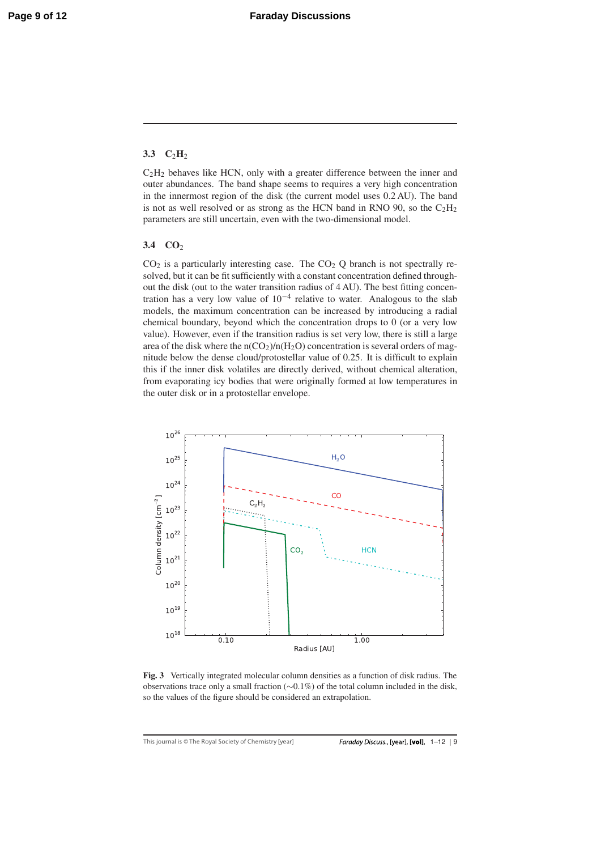### 3.3  $C_2H_2$

 $C<sub>2</sub>H<sub>2</sub>$  behaves like HCN, only with a greater difference between the inner and outer abundances. The band shape seems to requires a very high concentration in the innermost region of the disk (the current model uses 0.2 AU). The band is not as well resolved or as strong as the HCN band in RNO 90, so the  $C_2H_2$ parameters are still uncertain, even with the two-dimensional model.

#### 3.4  $CO<sub>2</sub>$

 $CO<sub>2</sub>$  is a particularly interesting case. The  $CO<sub>2</sub>$  Q branch is not spectrally resolved, but it can be fit sufficiently with a constant concentration defined throughout the disk (out to the water transition radius of 4 AU). The best fitting concentration has a very low value of  $10^{-4}$  relative to water. Analogous to the slab models, the maximum concentration can be increased by introducing a radial chemical boundary, beyond which the concentration drops to 0 (or a very low value). However, even if the transition radius is set very low, there is still a large area of the disk where the  $n(CO_2)/n(H_2O)$  concentration is several orders of magnitude below the dense cloud/protostellar value of 0.25. It is difficult to explain this if the inner disk volatiles are directly derived, without chemical alteration, from evaporating icy bodies that were originally formed at low temperatures in the outer disk or in a protostellar envelope.



Fig. 3 Vertically integrated molecular column densities as a function of disk radius. The observations trace only a small fraction (∼0.1%) of the total column included in the disk, so the values of the figure should be considered an extrapolation.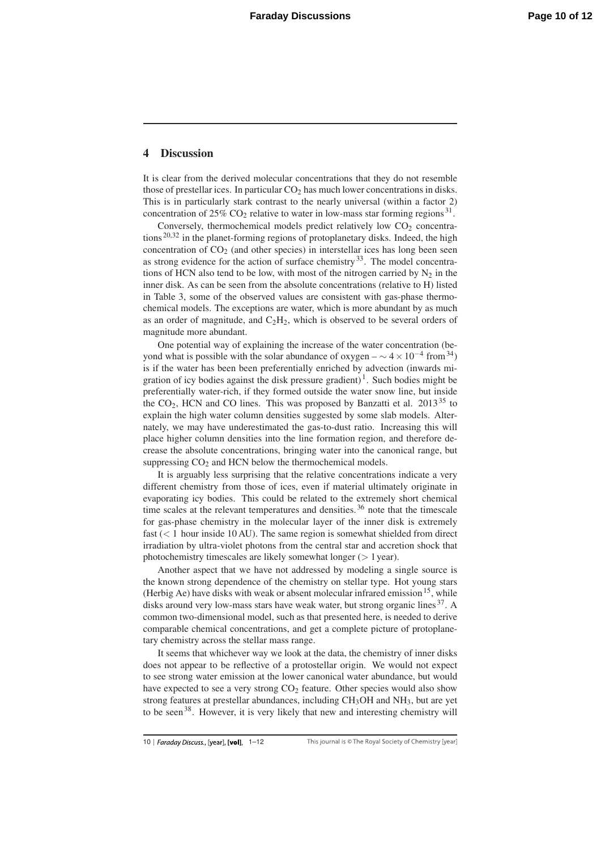#### 4 Discussion

It is clear from the derived molecular concentrations that they do not resemble those of prestellar ices. In particular  $CO<sub>2</sub>$  has much lower concentrations in disks. This is in particularly stark contrast to the nearly universal (within a factor 2) concentration of  $25\%$  CO<sub>2</sub> relative to water in low-mass star forming regions<sup>31</sup>.

Conversely, thermochemical models predict relatively low  $CO<sub>2</sub>$  concentrations 20,32 in the planet-forming regions of protoplanetary disks. Indeed, the high concentration of  $CO<sub>2</sub>$  (and other species) in interstellar ices has long been seen as strong evidence for the action of surface chemistry $33$ . The model concentrations of HCN also tend to be low, with most of the nitrogen carried by  $N_2$  in the inner disk. As can be seen from the absolute concentrations (relative to H) listed in Table 3, some of the observed values are consistent with gas-phase thermochemical models. The exceptions are water, which is more abundant by as much as an order of magnitude, and  $C_2H_2$ , which is observed to be several orders of magnitude more abundant.

One potential way of explaining the increase of the water concentration (beyond what is possible with the solar abundance of oxygen –  $\sim$  4 × 10<sup>-4</sup> from<sup>34</sup>) is if the water has been been preferentially enriched by advection (inwards migration of icy bodies against the disk pressure gradient)<sup>1</sup>. Such bodies might be preferentially water-rich, if they formed outside the water snow line, but inside the  $CO<sub>2</sub>$ , HCN and CO lines. This was proposed by Banzatti et al. 2013<sup>35</sup> to explain the high water column densities suggested by some slab models. Alternately, we may have underestimated the gas-to-dust ratio. Increasing this will place higher column densities into the line formation region, and therefore decrease the absolute concentrations, bringing water into the canonical range, but suppressing  $CO<sub>2</sub>$  and HCN below the thermochemical models.

It is arguably less surprising that the relative concentrations indicate a very different chemistry from those of ices, even if material ultimately originate in evaporating icy bodies. This could be related to the extremely short chemical time scales at the relevant temperatures and densities.<sup>36</sup> note that the timescale for gas-phase chemistry in the molecular layer of the inner disk is extremely fast (< 1 hour inside 10 AU). The same region is somewhat shielded from direct irradiation by ultra-violet photons from the central star and accretion shock that photochemistry timescales are likely somewhat longer (> 1 year).

Another aspect that we have not addressed by modeling a single source is the known strong dependence of the chemistry on stellar type. Hot young stars (Herbig Ae) have disks with weak or absent molecular infrared emission<sup>15</sup>, while disks around very low-mass stars have weak water, but strong organic lines  $37$ . A common two-dimensional model, such as that presented here, is needed to derive comparable chemical concentrations, and get a complete picture of protoplanetary chemistry across the stellar mass range.

It seems that whichever way we look at the data, the chemistry of inner disks does not appear to be reflective of a protostellar origin. We would not expect to see strong water emission at the lower canonical water abundance, but would have expected to see a very strong  $CO<sub>2</sub>$  feature. Other species would also show strong features at prestellar abundances, including  $CH<sub>3</sub>OH$  and  $NH<sub>3</sub>$ , but are yet to be seen<sup>38</sup>. However, it is very likely that new and interesting chemistry will

<sup>10 |</sup> Faraday Discuss., [year], [vol],  $1-12$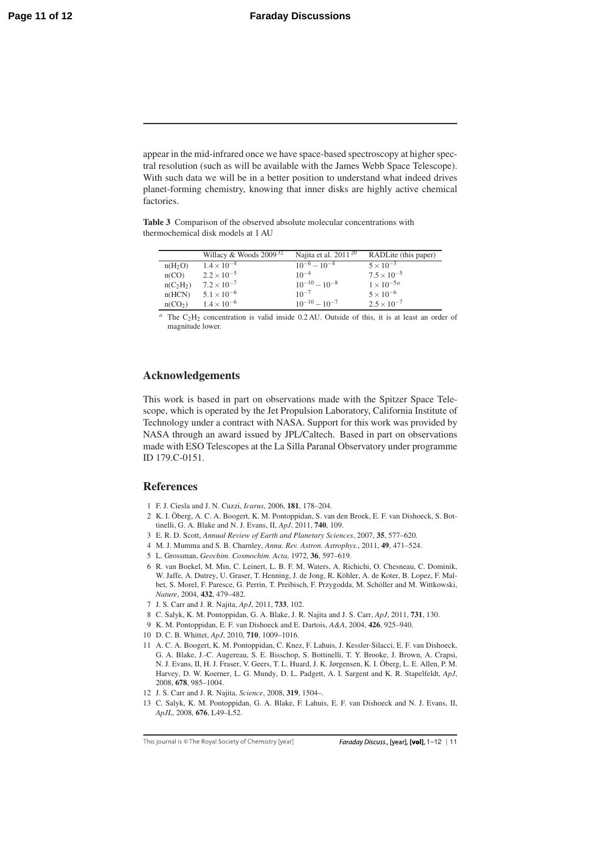appear in the mid-infrared once we have space-based spectroscopy at higher spectral resolution (such as will be available with the James Webb Space Telescope). With such data we will be in a better position to understand what indeed drives planet-forming chemistry, knowing that inner disks are highly active chemical factories.

Table 3 Comparison of the observed absolute molecular concentrations with thermochemical disk models at 1 AU

|                     | Willacy & Woods $2009^{32}$ | Najita et al. $2011^{20}$ | RADLite (this paper) |
|---------------------|-----------------------------|---------------------------|----------------------|
| $n(H_2O)$           | $1.4 \times 10^{-4}$        | $10^{-6} - 10^{-4}$       | $5 \times 10^{-3}$   |
| n(CO)               | $2.2 \times 10^{-5}$        | $10^{-4}$                 | $7.5 \times 10^{-5}$ |
| $n(C_2H_2)$         | $7.2 \times 10^{-7}$        | $10^{-10} - 10^{-8}$      | $1 \times 10^{-5a}$  |
| n(HCN)              | $5.1 \times 10^{-6}$        | $10^{-7}$                 | $5 \times 10^{-6}$   |
| n(CO <sub>2</sub> ) | $1.4 \times 10^{-6}$        | $10^{-10} - 10^{-7}$      | $2.5 \times 10^{-7}$ |

 $a$  The  $C_2H_2$  concentration is valid inside 0.2 AU. Outside of this, it is at least an order of magnitude lower.

## Acknowledgements

This work is based in part on observations made with the Spitzer Space Telescope, which is operated by the Jet Propulsion Laboratory, California Institute of Technology under a contract with NASA. Support for this work was provided by NASA through an award issued by JPL/Caltech. Based in part on observations made with ESO Telescopes at the La Silla Paranal Observatory under programme ID 179.C-0151.

#### References

- 1 F. J. Ciesla and J. N. Cuzzi, *Icarus*, 2006, 181, 178–204.
- 2 K. I. Oberg, A. C. A. Boogert, K. M. Pontoppidan, S. van den Broek, E. F. van Dishoeck, S. Bot- ¨ tinelli, G. A. Blake and N. J. Evans, II, *ApJ*, 2011, 740, 109.
- 3 E. R. D. Scott, *Annual Review of Earth and Planetary Sciences*, 2007, 35, 577–620.
- 4 M. J. Mumma and S. B. Charnley, *Annu. Rev. Astron. Astrophys.*, 2011, 49, 471–524.
- 5 L. Grossman, *Geochim. Cosmochim. Acta*, 1972, 36, 597–619.
- 6 R. van Boekel, M. Min, C. Leinert, L. B. F. M. Waters, A. Richichi, O. Chesneau, C. Dominik, W. Jaffe, A. Dutrey, U. Graser, T. Henning, J. de Jong, R. Köhler, A. de Koter, B. Lopez, F. Malbet, S. Morel, F. Paresce, G. Perrin, T. Preibisch, F. Przygodda, M. Scholler and M. Wittkowski, ¨ *Nature*, 2004, 432, 479–482.
- 7 J. S. Carr and J. R. Najita, *ApJ*, 2011, 733, 102.
- 8 C. Salyk, K. M. Pontoppidan, G. A. Blake, J. R. Najita and J. S. Carr, *ApJ*, 2011, 731, 130.
- 9 K. M. Pontoppidan, E. F. van Dishoeck and E. Dartois, *A&A*, 2004, 426, 925–940.
- 10 D. C. B. Whittet, *ApJ*, 2010, 710, 1009–1016.
- 11 A. C. A. Boogert, K. M. Pontoppidan, C. Knez, F. Lahuis, J. Kessler-Silacci, E. F. van Dishoeck, G. A. Blake, J.-C. Augereau, S. E. Bisschop, S. Bottinelli, T. Y. Brooke, J. Brown, A. Crapsi, N. J. Evans, II, H. J. Fraser, V. Geers, T. L. Huard, J. K. Jørgensen, K. I. Oberg, L. E. Allen, P. M. ¨ Harvey, D. W. Koerner, L. G. Mundy, D. L. Padgett, A. I. Sargent and K. R. Stapelfeldt, *ApJ*, 2008, 678, 985–1004.
- 12 J. S. Carr and J. R. Najita, *Science*, 2008, 319, 1504–.
- 13 C. Salyk, K. M. Pontoppidan, G. A. Blake, F. Lahuis, E. F. van Dishoeck and N. J. Evans, II, *ApJL*, 2008, 676, L49–L52.

This journal is © The Royal Society of Chemistry [year]